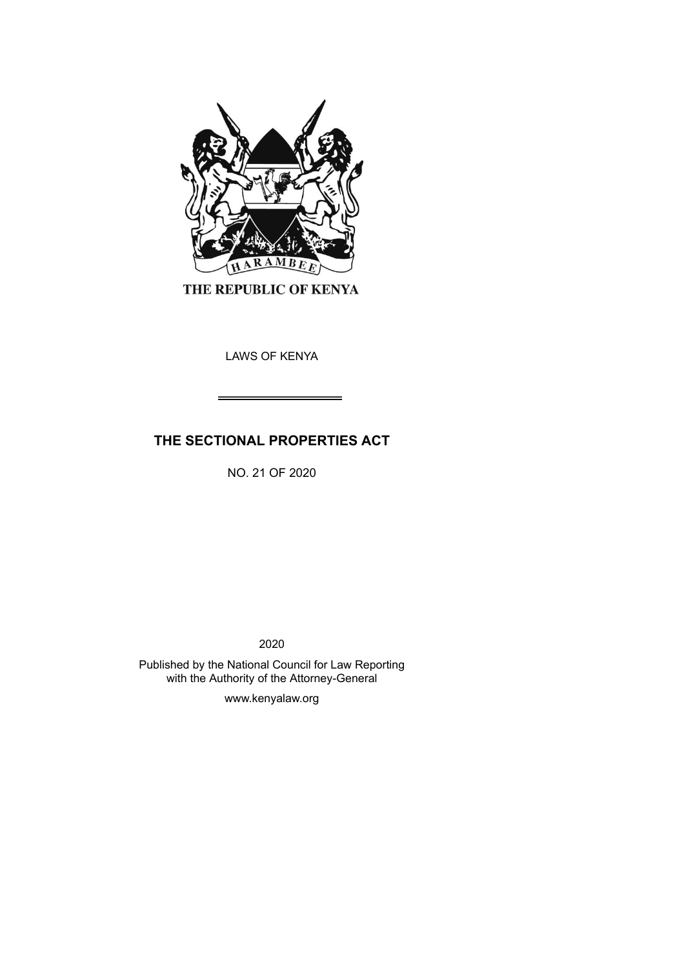

THE REPUBLIC OF KENYA

LAWS OF KENYA

# **THE SECTIONAL PROPERTIES ACT**

NO. 21 OF 2020

2020

Published by the National Council for Law Reporting with the Authority of the Attorney-General

www.kenyalaw.org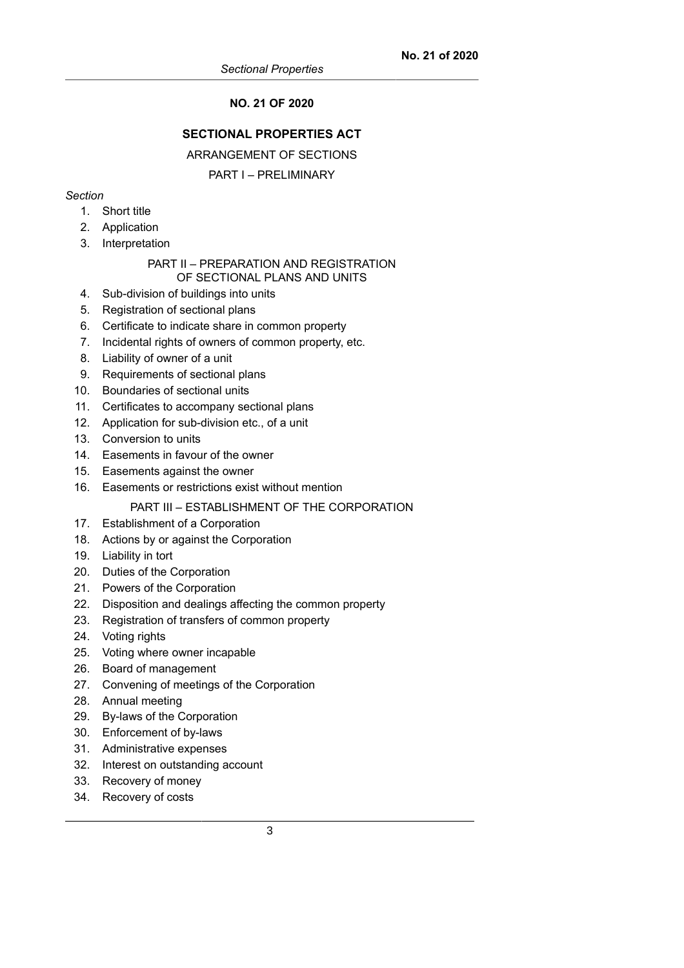## **NO. 21 OF 2020**

## **SECTIONAL PROPERTIES ACT**

ARRANGEMENT OF SECTIONS

## PART I – PRELIMINARY

## *Section*

- 1. Short title
- 2. Application
- 3. Interpretation

### PART II – PREPARATION AND REGISTRATION OF SECTIONAL PLANS AND UNITS

- 4. Sub-division of buildings into units
- 5. Registration of sectional plans
- 6. Certificate to indicate share in common property
- 7. Incidental rights of owners of common property, etc.
- 8. Liability of owner of a unit
- 9. Requirements of sectional plans
- 10. Boundaries of sectional units
- 11. Certificates to accompany sectional plans
- 12. Application for sub-division etc., of a unit
- 13. Conversion to units
- 14. Easements in favour of the owner
- 15. Easements against the owner
- 16. Easements or restrictions exist without mention

## PART III – ESTABLISHMENT OF THE CORPORATION

- 17. Establishment of a Corporation
- 18. Actions by or against the Corporation
- 19. Liability in tort
- 20. Duties of the Corporation
- 21. Powers of the Corporation
- 22. Disposition and dealings affecting the common property
- 23. Registration of transfers of common property
- 24. Voting rights
- 25. Voting where owner incapable
- 26. Board of management
- 27. Convening of meetings of the Corporation
- 28. Annual meeting
- 29. By-laws of the Corporation
- 30. Enforcement of by-laws
- 31. Administrative expenses
- 32. Interest on outstanding account
- 33. Recovery of money
- 34. Recovery of costs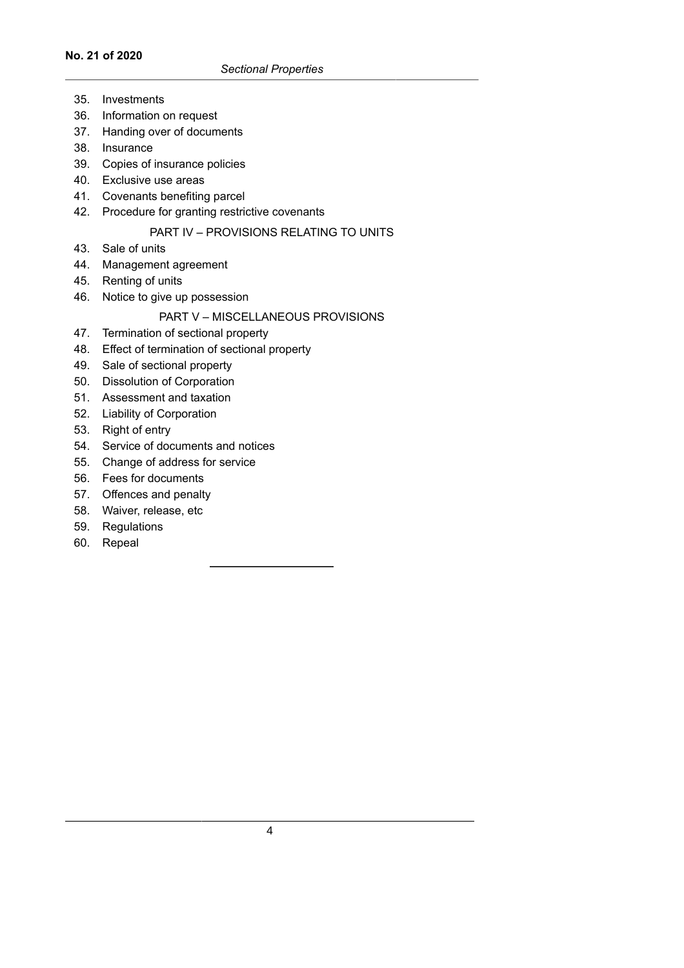#### **No. 21 of 2020**

- 35. Investments
- 36. Information on request
- 37. Handing over of documents
- 38. Insurance
- 39. Copies of insurance policies
- 40. Exclusive use areas
- 41. Covenants benefiting parcel
- 42. Procedure for granting restrictive covenants

## PART IV – PROVISIONS RELATING TO UNITS

- 43. Sale of units
- 44. Management agreement
- 45. Renting of units
- 46. Notice to give up possession

## PART V – MISCELLANEOUS PROVISIONS

- 47. Termination of sectional property
- 48. Effect of termination of sectional property
- 49. Sale of sectional property
- 50. Dissolution of Corporation
- 51. Assessment and taxation
- 52. Liability of Corporation
- 53. Right of entry
- 54. Service of documents and notices
- 55. Change of address for service
- 56. Fees for documents
- 57. Offences and penalty
- 58. Waiver, release, etc
- 59. Regulations
- 60. Repeal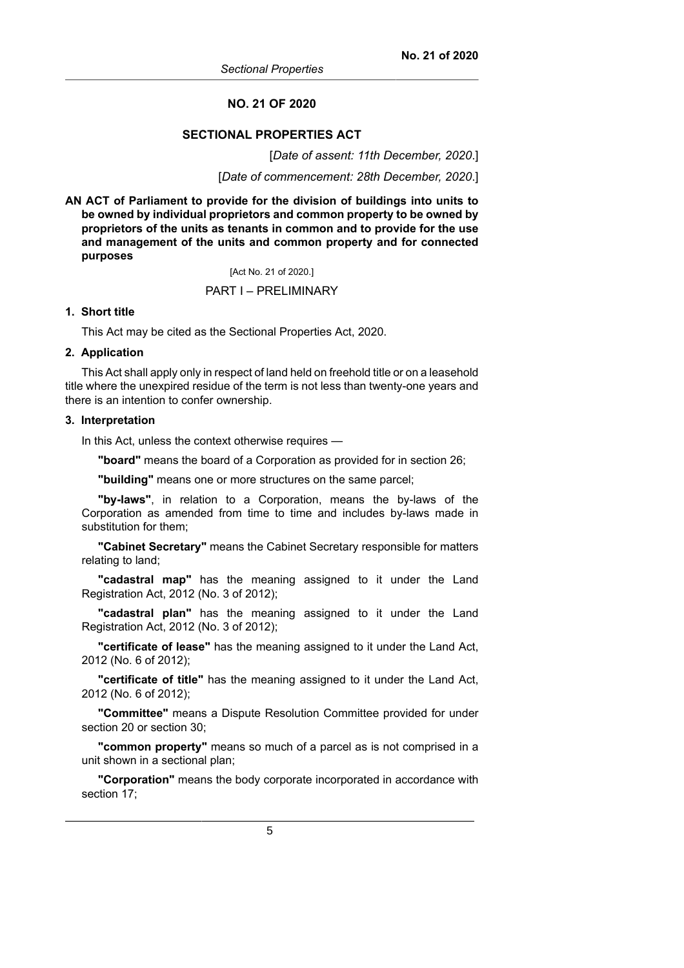#### **NO. 21 OF 2020**

#### **SECTIONAL PROPERTIES ACT**

[*Date of assent: 11th December, 2020*.]

[*Date of commencement: 28th December, 2020*.]

**AN ACT of Parliament to provide for the division of buildings into units to be owned by individual proprietors and common property to be owned by proprietors of the units as tenants in common and to provide for the use and management of the units and common property and for connected purposes**

[Act No. 21 of 2020.]

#### PART I – PRELIMINARY

### **1. Short title**

This Act may be cited as the Sectional Properties Act, 2020.

#### **2. Application**

This Act shall apply only in respect of land held on freehold title or on a leasehold title where the unexpired residue of the term is not less than twenty-one years and there is an intention to confer ownership.

#### **3. Interpretation**

In this Act, unless the context otherwise requires —

**"board"** means the board of a Corporation as provided for in section 26;

**"building"** means one or more structures on the same parcel;

**"by-laws"**, in relation to a Corporation, means the by-laws of the Corporation as amended from time to time and includes by-laws made in substitution for them;

**"Cabinet Secretary"** means the Cabinet Secretary responsible for matters relating to land;

**"cadastral map"** has the meaning assigned to it under the Land Registration Act, 2012 (No. 3 of 2012);

**"cadastral plan"** has the meaning assigned to it under the Land Registration Act, 2012 (No. 3 of 2012);

**"certificate of lease"** has the meaning assigned to it under the Land Act, 2012 (No. 6 of 2012);

**"certificate of title"** has the meaning assigned to it under the Land Act, 2012 (No. 6 of 2012);

**"Committee"** means a Dispute Resolution Committee provided for under section 20 or section 30;

**"common property"** means so much of a parcel as is not comprised in a unit shown in a sectional plan;

**"Corporation"** means the body corporate incorporated in accordance with section 17;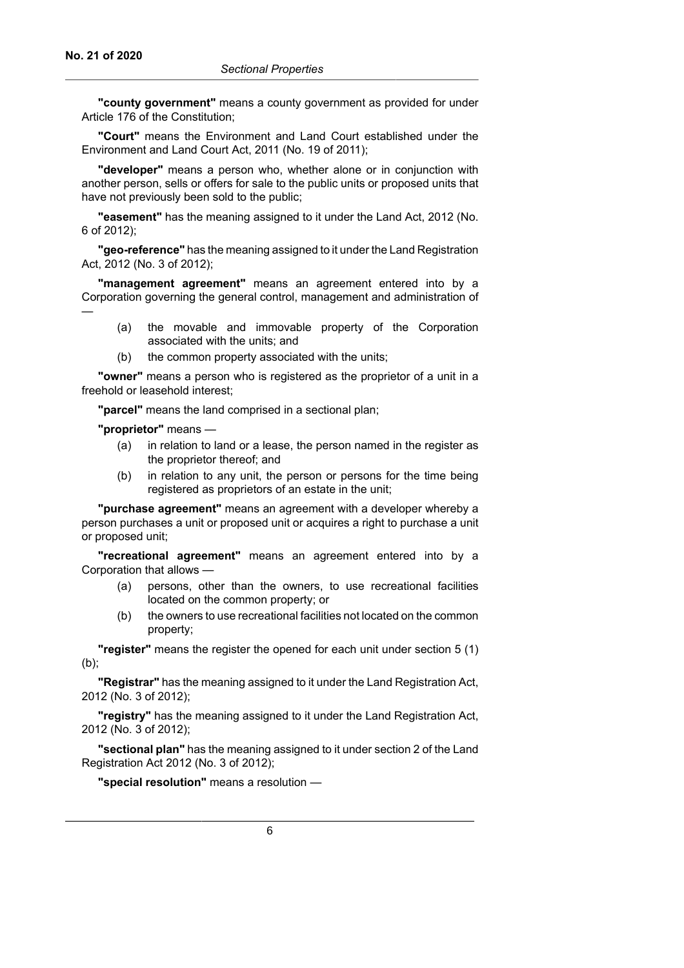**"county government"** means a county government as provided for under Article 176 of the Constitution;

**"Court"** means the Environment and Land Court established under the Environment and Land Court Act, 2011 (No. 19 of 2011);

**"developer"** means a person who, whether alone or in conjunction with another person, sells or offers for sale to the public units or proposed units that have not previously been sold to the public;

**"easement"** has the meaning assigned to it under the Land Act, 2012 (No. 6 of 2012);

**"geo-reference"** has the meaning assigned to it under the Land Registration Act, 2012 (No. 3 of 2012);

**"management agreement"** means an agreement entered into by a Corporation governing the general control, management and administration of —

- (a) the movable and immovable property of the Corporation associated with the units; and
- (b) the common property associated with the units;

**"owner"** means a person who is registered as the proprietor of a unit in a freehold or leasehold interest;

**"parcel"** means the land comprised in a sectional plan;

**"proprietor"** means —

- (a) in relation to land or a lease, the person named in the register as the proprietor thereof; and
- (b) in relation to any unit, the person or persons for the time being registered as proprietors of an estate in the unit;

**"purchase agreement"** means an agreement with a developer whereby a person purchases a unit or proposed unit or acquires a right to purchase a unit or proposed unit;

**"recreational agreement"** means an agreement entered into by a Corporation that allows —

- (a) persons, other than the owners, to use recreational facilities located on the common property; or
- (b) the owners to use recreational facilities not located on the common property;

**"register"** means the register the opened for each unit under section 5 (1) (b);

**"Registrar"** has the meaning assigned to it under the Land Registration Act, 2012 (No. 3 of 2012);

**"registry"** has the meaning assigned to it under the Land Registration Act, 2012 (No. 3 of 2012);

**"sectional plan"** has the meaning assigned to it under section 2 of the Land Registration Act 2012 (No. 3 of 2012);

**"special resolution"** means a resolution —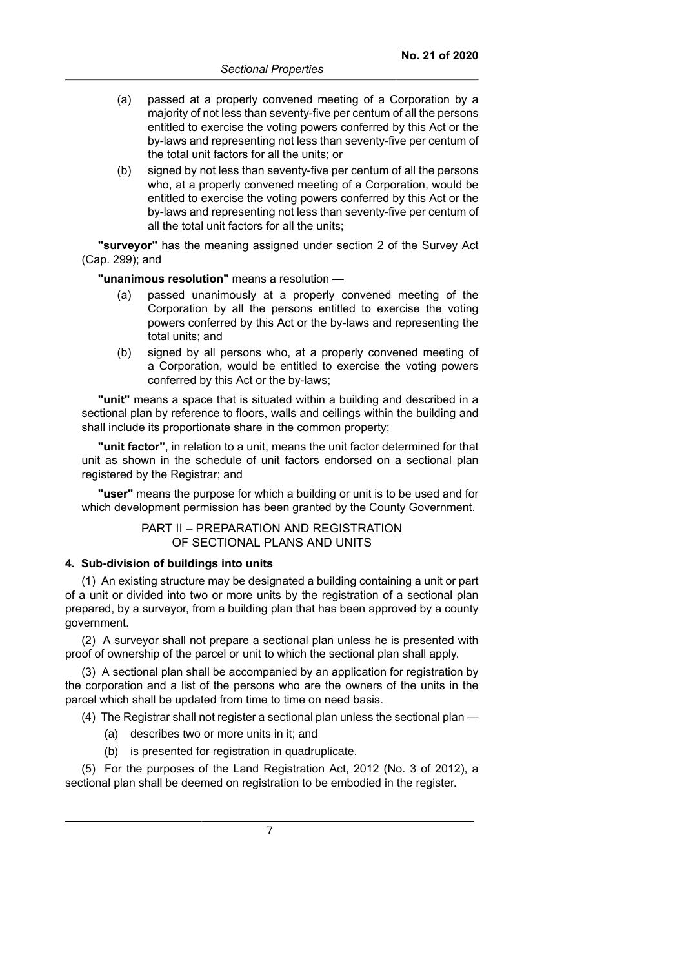- (a) passed at a properly convened meeting of a Corporation by a majority of not less than seventy-five per centum of all the persons entitled to exercise the voting powers conferred by this Act or the by-laws and representing not less than seventy-five per centum of the total unit factors for all the units; or
- (b) signed by not less than seventy-five per centum of all the persons who, at a properly convened meeting of a Corporation, would be entitled to exercise the voting powers conferred by this Act or the by-laws and representing not less than seventy-five per centum of all the total unit factors for all the units;

**"surveyor"** has the meaning assigned under section 2 of the Survey Act (Cap. 299); and

**"unanimous resolution"** means a resolution —

- (a) passed unanimously at a properly convened meeting of the Corporation by all the persons entitled to exercise the voting powers conferred by this Act or the by-laws and representing the total units; and
- (b) signed by all persons who, at a properly convened meeting of a Corporation, would be entitled to exercise the voting powers conferred by this Act or the by-laws;

**"unit"** means a space that is situated within a building and described in a sectional plan by reference to floors, walls and ceilings within the building and shall include its proportionate share in the common property;

**"unit factor"**, in relation to a unit, means the unit factor determined for that unit as shown in the schedule of unit factors endorsed on a sectional plan registered by the Registrar; and

**"user"** means the purpose for which a building or unit is to be used and for which development permission has been granted by the County Government.

## PART II – PREPARATION AND REGISTRATION OF SECTIONAL PLANS AND UNITS

### **4. Sub-division of buildings into units**

(1) An existing structure may be designated a building containing a unit or part of a unit or divided into two or more units by the registration of a sectional plan prepared, by a surveyor, from a building plan that has been approved by a county government.

(2) A surveyor shall not prepare a sectional plan unless he is presented with proof of ownership of the parcel or unit to which the sectional plan shall apply.

(3) A sectional plan shall be accompanied by an application for registration by the corporation and a list of the persons who are the owners of the units in the parcel which shall be updated from time to time on need basis.

(4) The Registrar shall not register a sectional plan unless the sectional plan —

- (a) describes two or more units in it; and
- (b) is presented for registration in quadruplicate.

(5) For the purposes of the Land Registration Act, 2012 (No. 3 of 2012), a sectional plan shall be deemed on registration to be embodied in the register.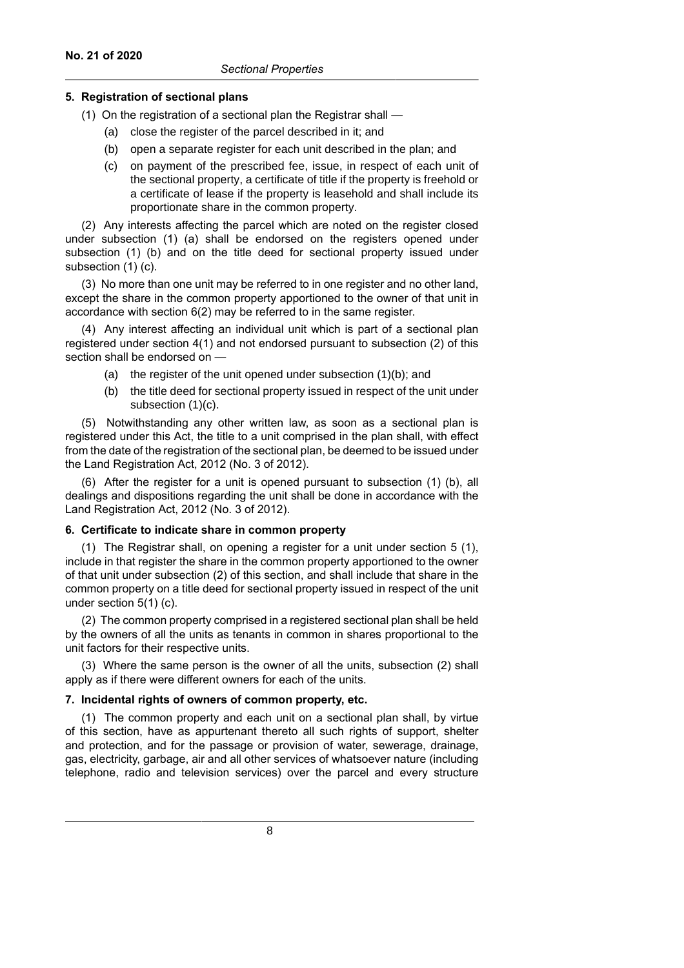#### **5. Registration of sectional plans**

(1) On the registration of a sectional plan the Registrar shall —

- (a) close the register of the parcel described in it; and
- (b) open a separate register for each unit described in the plan; and
- (c) on payment of the prescribed fee, issue, in respect of each unit of the sectional property, a certificate of title if the property is freehold or a certificate of lease if the property is leasehold and shall include its proportionate share in the common property.

(2) Any interests affecting the parcel which are noted on the register closed under subsection (1) (a) shall be endorsed on the registers opened under subsection (1) (b) and on the title deed for sectional property issued under subsection (1) (c).

(3) No more than one unit may be referred to in one register and no other land, except the share in the common property apportioned to the owner of that unit in accordance with section 6(2) may be referred to in the same register.

(4) Any interest affecting an individual unit which is part of a sectional plan registered under section 4(1) and not endorsed pursuant to subsection (2) of this section shall be endorsed on —

- (a) the register of the unit opened under subsection (1)(b); and
- (b) the title deed for sectional property issued in respect of the unit under subsection (1)(c).

(5) Notwithstanding any other written law, as soon as a sectional plan is registered under this Act, the title to a unit comprised in the plan shall, with effect from the date of the registration of the sectional plan, be deemed to be issued under the Land Registration Act, 2012 (No. 3 of 2012).

(6) After the register for a unit is opened pursuant to subsection (1) (b), all dealings and dispositions regarding the unit shall be done in accordance with the Land Registration Act, 2012 (No. 3 of 2012).

### **6. Certificate to indicate share in common property**

(1) The Registrar shall, on opening a register for a unit under section 5 (1), include in that register the share in the common property apportioned to the owner of that unit under subsection (2) of this section, and shall include that share in the common property on a title deed for sectional property issued in respect of the unit under section 5(1) (c).

(2) The common property comprised in a registered sectional plan shall be held by the owners of all the units as tenants in common in shares proportional to the unit factors for their respective units.

(3) Where the same person is the owner of all the units, subsection (2) shall apply as if there were different owners for each of the units.

#### **7. Incidental rights of owners of common property, etc.**

(1) The common property and each unit on a sectional plan shall, by virtue of this section, have as appurtenant thereto all such rights of support, shelter and protection, and for the passage or provision of water, sewerage, drainage, gas, electricity, garbage, air and all other services of whatsoever nature (including telephone, radio and television services) over the parcel and every structure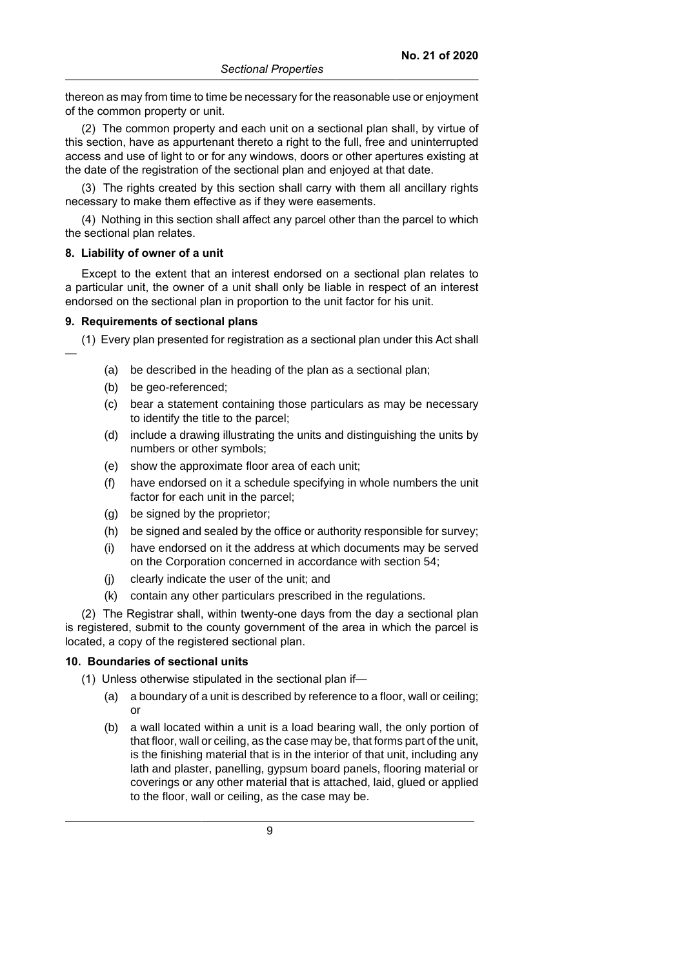thereon as may from time to time be necessary for the reasonable use or enjoyment of the common property or unit.

(2) The common property and each unit on a sectional plan shall, by virtue of this section, have as appurtenant thereto a right to the full, free and uninterrupted access and use of light to or for any windows, doors or other apertures existing at the date of the registration of the sectional plan and enjoyed at that date.

(3) The rights created by this section shall carry with them all ancillary rights necessary to make them effective as if they were easements.

(4) Nothing in this section shall affect any parcel other than the parcel to which the sectional plan relates.

#### **8. Liability of owner of a unit**

—

Except to the extent that an interest endorsed on a sectional plan relates to a particular unit, the owner of a unit shall only be liable in respect of an interest endorsed on the sectional plan in proportion to the unit factor for his unit.

#### **9. Requirements of sectional plans**

(1) Every plan presented for registration as a sectional plan under this Act shall

- (a) be described in the heading of the plan as a sectional plan;
- (b) be geo-referenced;
- (c) bear a statement containing those particulars as may be necessary to identify the title to the parcel;
- (d) include a drawing illustrating the units and distinguishing the units by numbers or other symbols;
- (e) show the approximate floor area of each unit;
- (f) have endorsed on it a schedule specifying in whole numbers the unit factor for each unit in the parcel;
- (g) be signed by the proprietor;
- (h) be signed and sealed by the office or authority responsible for survey;
- (i) have endorsed on it the address at which documents may be served on the Corporation concerned in accordance with section 54;
- (j) clearly indicate the user of the unit; and
- (k) contain any other particulars prescribed in the regulations.

(2) The Registrar shall, within twenty-one days from the day a sectional plan is registered, submit to the county government of the area in which the parcel is located, a copy of the registered sectional plan.

### **10. Boundaries of sectional units**

(1) Unless otherwise stipulated in the sectional plan if—

- (a) a boundary of a unit is described by reference to a floor, wall or ceiling; or
- (b) a wall located within a unit is a load bearing wall, the only portion of that floor, wall or ceiling, as the case may be, that forms part of the unit, is the finishing material that is in the interior of that unit, including any lath and plaster, panelling, gypsum board panels, flooring material or coverings or any other material that is attached, laid, glued or applied to the floor, wall or ceiling, as the case may be.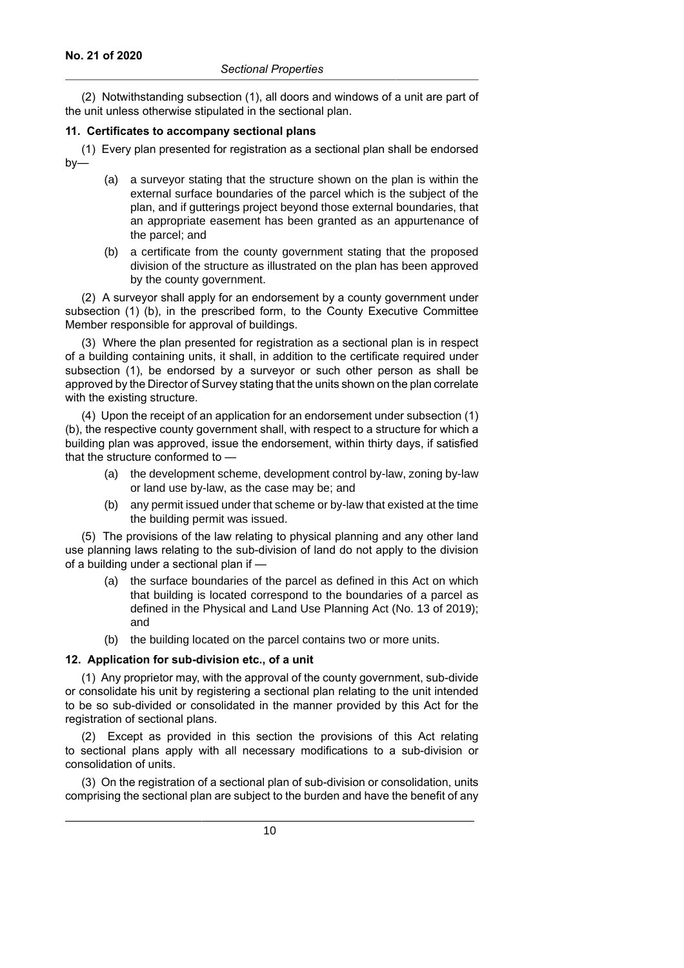(2) Notwithstanding subsection (1), all doors and windows of a unit are part of the unit unless otherwise stipulated in the sectional plan.

#### **11. Certificates to accompany sectional plans**

(1) Every plan presented for registration as a sectional plan shall be endorsed by—

- (a) a surveyor stating that the structure shown on the plan is within the external surface boundaries of the parcel which is the subject of the plan, and if gutterings project beyond those external boundaries, that an appropriate easement has been granted as an appurtenance of the parcel; and
- (b) a certificate from the county government stating that the proposed division of the structure as illustrated on the plan has been approved by the county government.

(2) A surveyor shall apply for an endorsement by a county government under subsection (1) (b), in the prescribed form, to the County Executive Committee Member responsible for approval of buildings.

(3) Where the plan presented for registration as a sectional plan is in respect of a building containing units, it shall, in addition to the certificate required under subsection (1), be endorsed by a surveyor or such other person as shall be approved by the Director of Survey stating that the units shown on the plan correlate with the existing structure.

(4) Upon the receipt of an application for an endorsement under subsection (1) (b), the respective county government shall, with respect to a structure for which a building plan was approved, issue the endorsement, within thirty days, if satisfied that the structure conformed to —

- (a) the development scheme, development control by-law, zoning by-law or land use by-law, as the case may be; and
- (b) any permit issued under that scheme or by-law that existed at the time the building permit was issued.

(5) The provisions of the law relating to physical planning and any other land use planning laws relating to the sub-division of land do not apply to the division of a building under a sectional plan if —

- (a) the surface boundaries of the parcel as defined in this Act on which that building is located correspond to the boundaries of a parcel as defined in the Physical and Land Use Planning Act (No. 13 of 2019); and
- (b) the building located on the parcel contains two or more units.

## **12. Application for sub-division etc., of a unit**

(1) Any proprietor may, with the approval of the county government, sub-divide or consolidate his unit by registering a sectional plan relating to the unit intended to be so sub-divided or consolidated in the manner provided by this Act for the registration of sectional plans.

(2) Except as provided in this section the provisions of this Act relating to sectional plans apply with all necessary modifications to a sub-division or consolidation of units.

(3) On the registration of a sectional plan of sub-division or consolidation, units comprising the sectional plan are subject to the burden and have the benefit of any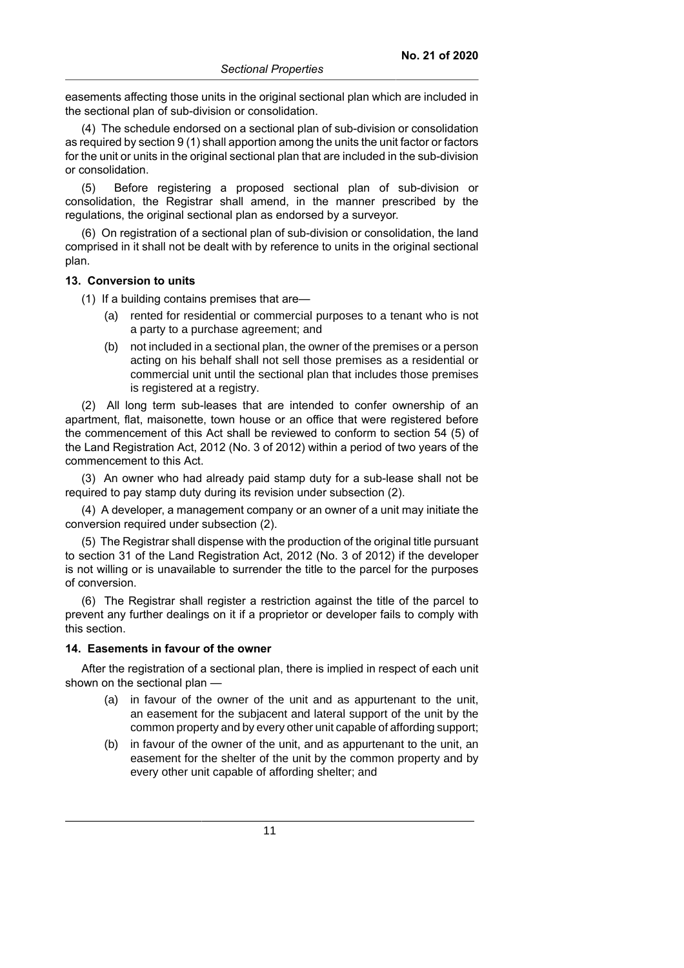easements affecting those units in the original sectional plan which are included in the sectional plan of sub-division or consolidation.

(4) The schedule endorsed on a sectional plan of sub-division or consolidation as required by section 9 (1) shall apportion among the units the unit factor or factors for the unit or units in the original sectional plan that are included in the sub-division or consolidation.

(5) Before registering a proposed sectional plan of sub-division or consolidation, the Registrar shall amend, in the manner prescribed by the regulations, the original sectional plan as endorsed by a surveyor.

(6) On registration of a sectional plan of sub-division or consolidation, the land comprised in it shall not be dealt with by reference to units in the original sectional plan.

#### **13. Conversion to units**

(1) If a building contains premises that are—

- (a) rented for residential or commercial purposes to a tenant who is not a party to a purchase agreement; and
- (b) not included in a sectional plan, the owner of the premises or a person acting on his behalf shall not sell those premises as a residential or commercial unit until the sectional plan that includes those premises is registered at a registry.

(2) All long term sub-leases that are intended to confer ownership of an apartment, flat, maisonette, town house or an office that were registered before the commencement of this Act shall be reviewed to conform to section 54 (5) of the Land Registration Act, 2012 (No. 3 of 2012) within a period of two years of the commencement to this Act.

(3) An owner who had already paid stamp duty for a sub-lease shall not be required to pay stamp duty during its revision under subsection (2).

(4) A developer, a management company or an owner of a unit may initiate the conversion required under subsection (2).

(5) The Registrar shall dispense with the production of the original title pursuant to section 31 of the Land Registration Act, 2012 (No. 3 of 2012) if the developer is not willing or is unavailable to surrender the title to the parcel for the purposes of conversion.

(6) The Registrar shall register a restriction against the title of the parcel to prevent any further dealings on it if a proprietor or developer fails to comply with this section.

#### **14. Easements in favour of the owner**

After the registration of a sectional plan, there is implied in respect of each unit shown on the sectional plan —

- (a) in favour of the owner of the unit and as appurtenant to the unit, an easement for the subjacent and lateral support of the unit by the common property and by every other unit capable of affording support;
- (b) in favour of the owner of the unit, and as appurtenant to the unit, an easement for the shelter of the unit by the common property and by every other unit capable of affording shelter; and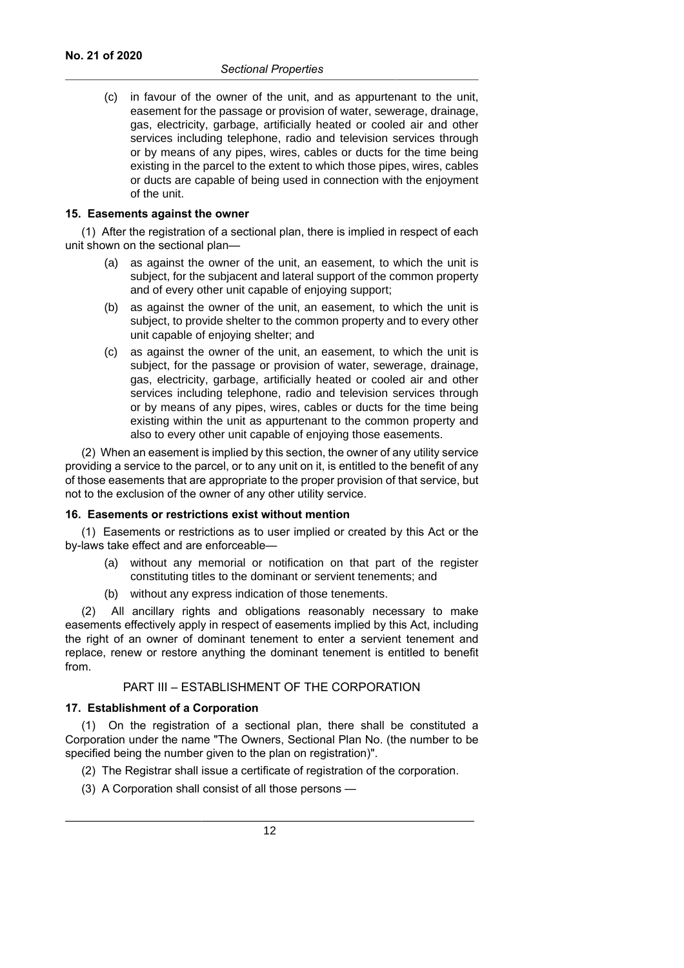(c) in favour of the owner of the unit, and as appurtenant to the unit, easement for the passage or provision of water, sewerage, drainage, gas, electricity, garbage, artificially heated or cooled air and other services including telephone, radio and television services through or by means of any pipes, wires, cables or ducts for the time being existing in the parcel to the extent to which those pipes, wires, cables or ducts are capable of being used in connection with the enjoyment of the unit.

#### **15. Easements against the owner**

(1) After the registration of a sectional plan, there is implied in respect of each unit shown on the sectional plan—

- (a) as against the owner of the unit, an easement, to which the unit is subject, for the subjacent and lateral support of the common property and of every other unit capable of enjoying support;
- (b) as against the owner of the unit, an easement, to which the unit is subject, to provide shelter to the common property and to every other unit capable of enjoying shelter; and
- (c) as against the owner of the unit, an easement, to which the unit is subject, for the passage or provision of water, sewerage, drainage, gas, electricity, garbage, artificially heated or cooled air and other services including telephone, radio and television services through or by means of any pipes, wires, cables or ducts for the time being existing within the unit as appurtenant to the common property and also to every other unit capable of enjoying those easements.

(2) When an easement is implied by this section, the owner of any utility service providing a service to the parcel, or to any unit on it, is entitled to the benefit of any of those easements that are appropriate to the proper provision of that service, but not to the exclusion of the owner of any other utility service.

#### **16. Easements or restrictions exist without mention**

(1) Easements or restrictions as to user implied or created by this Act or the by-laws take effect and are enforceable—

- (a) without any memorial or notification on that part of the register constituting titles to the dominant or servient tenements; and
- (b) without any express indication of those tenements.

(2) All ancillary rights and obligations reasonably necessary to make easements effectively apply in respect of easements implied by this Act, including the right of an owner of dominant tenement to enter a servient tenement and replace, renew or restore anything the dominant tenement is entitled to benefit from.

#### PART III – ESTABLISHMENT OF THE CORPORATION

#### **17. Establishment of a Corporation**

(1) On the registration of a sectional plan, there shall be constituted a Corporation under the name "The Owners, Sectional Plan No. (the number to be specified being the number given to the plan on registration)".

(2) The Registrar shall issue a certificate of registration of the corporation.

(3) A Corporation shall consist of all those persons —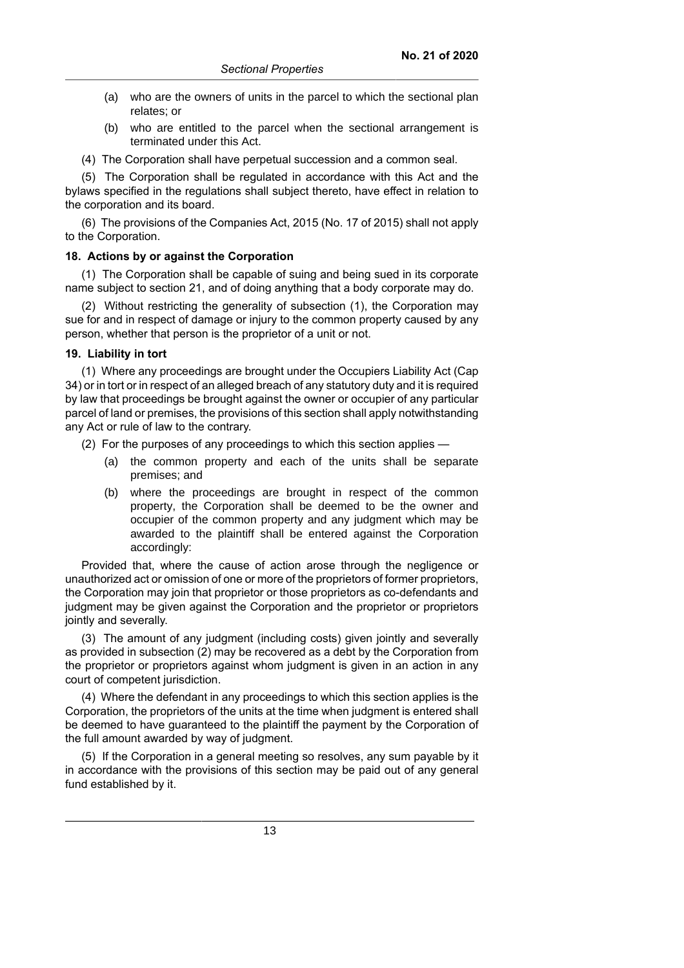- (a) who are the owners of units in the parcel to which the sectional plan relates; or
- (b) who are entitled to the parcel when the sectional arrangement is terminated under this Act.
- (4) The Corporation shall have perpetual succession and a common seal.

(5) The Corporation shall be regulated in accordance with this Act and the bylaws specified in the regulations shall subject thereto, have effect in relation to the corporation and its board.

(6) The provisions of the Companies Act, 2015 (No. 17 of 2015) shall not apply to the Corporation.

### **18. Actions by or against the Corporation**

(1) The Corporation shall be capable of suing and being sued in its corporate name subject to section 21, and of doing anything that a body corporate may do.

(2) Without restricting the generality of subsection (1), the Corporation may sue for and in respect of damage or injury to the common property caused by any person, whether that person is the proprietor of a unit or not.

### **19. Liability in tort**

(1) Where any proceedings are brought under the Occupiers Liability Act (Cap 34) or in tort or in respect of an alleged breach of any statutory duty and it is required by law that proceedings be brought against the owner or occupier of any particular parcel of land or premises, the provisions of this section shall apply notwithstanding any Act or rule of law to the contrary.

(2) For the purposes of any proceedings to which this section applies —

- (a) the common property and each of the units shall be separate premises; and
- (b) where the proceedings are brought in respect of the common property, the Corporation shall be deemed to be the owner and occupier of the common property and any judgment which may be awarded to the plaintiff shall be entered against the Corporation accordingly:

Provided that, where the cause of action arose through the negligence or unauthorized act or omission of one or more of the proprietors of former proprietors, the Corporation may join that proprietor or those proprietors as co-defendants and judgment may be given against the Corporation and the proprietor or proprietors jointly and severally.

(3) The amount of any judgment (including costs) given jointly and severally as provided in subsection (2) may be recovered as a debt by the Corporation from the proprietor or proprietors against whom judgment is given in an action in any court of competent jurisdiction.

(4) Where the defendant in any proceedings to which this section applies is the Corporation, the proprietors of the units at the time when judgment is entered shall be deemed to have guaranteed to the plaintiff the payment by the Corporation of the full amount awarded by way of judgment.

(5) If the Corporation in a general meeting so resolves, any sum payable by it in accordance with the provisions of this section may be paid out of any general fund established by it.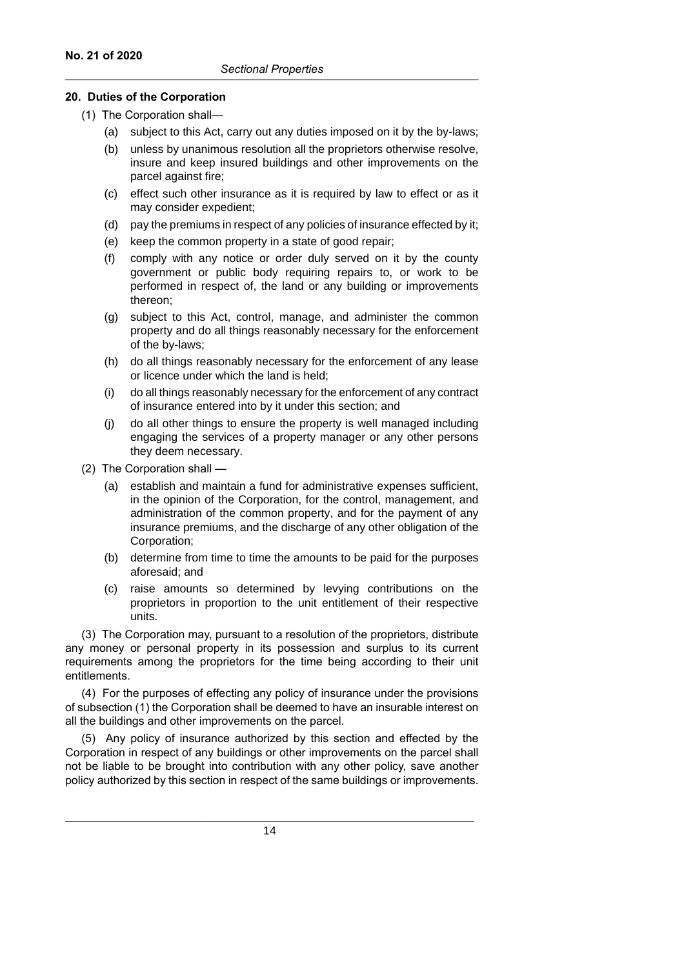## **20. Duties of the Corporation**

- (1) The Corporation shall—
	- (a) subject to this Act, carry out any duties imposed on it by the by-laws;
	- (b) unless by unanimous resolution all the proprietors otherwise resolve, insure and keep insured buildings and other improvements on the parcel against fire;
	- (c) effect such other insurance as it is required by law to effect or as it may consider expedient;
	- (d) pay the premiums in respect of any policies of insurance effected by it;
	- (e) keep the common property in a state of good repair;
	- (f) comply with any notice or order duly served on it by the county government or public body requiring repairs to, or work to be performed in respect of, the land or any building or improvements thereon;
	- (g) subject to this Act, control, manage, and administer the common property and do all things reasonably necessary for the enforcement of the by-laws;
	- (h) do all things reasonably necessary for the enforcement of any lease or licence under which the land is held;
	- (i) do all things reasonably necessary for the enforcement of any contract of insurance entered into by it under this section; and
	- (j) do all other things to ensure the property is well managed including engaging the services of a property manager or any other persons they deem necessary.
- (2) The Corporation shall
	- (a) establish and maintain a fund for administrative expenses sufficient, in the opinion of the Corporation, for the control, management, and administration of the common property, and for the payment of any insurance premiums, and the discharge of any other obligation of the Corporation;
	- (b) determine from time to time the amounts to be paid for the purposes aforesaid; and
	- (c) raise amounts so determined by levying contributions on the proprietors in proportion to the unit entitlement of their respective units.

(3) The Corporation may, pursuant to a resolution of the proprietors, distribute any money or personal property in its possession and surplus to its current requirements among the proprietors for the time being according to their unit entitlements.

(4) For the purposes of effecting any policy of insurance under the provisions of subsection (1) the Corporation shall be deemed to have an insurable interest on all the buildings and other improvements on the parcel.

(5) Any policy of insurance authorized by this section and effected by the Corporation in respect of any buildings or other improvements on the parcel shall not be liable to be brought into contribution with any other policy, save another policy authorized by this section in respect of the same buildings or improvements.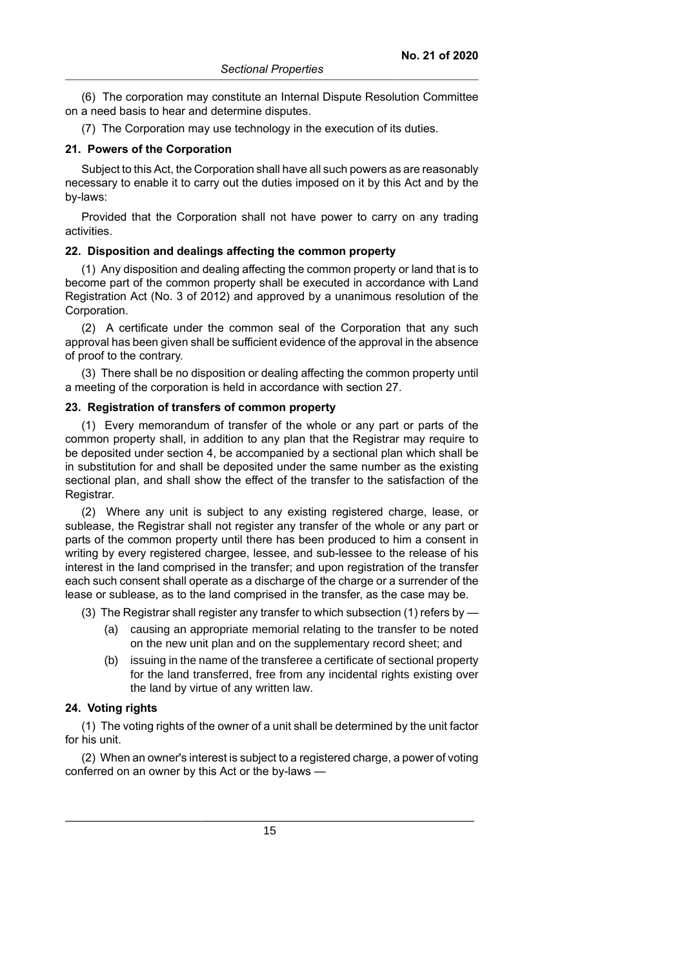(6) The corporation may constitute an Internal Dispute Resolution Committee on a need basis to hear and determine disputes.

(7) The Corporation may use technology in the execution of its duties.

### **21. Powers of the Corporation**

Subject to this Act, the Corporation shall have all such powers as are reasonably necessary to enable it to carry out the duties imposed on it by this Act and by the by-laws:

Provided that the Corporation shall not have power to carry on any trading activities.

## **22. Disposition and dealings affecting the common property**

(1) Any disposition and dealing affecting the common property or land that is to become part of the common property shall be executed in accordance with Land Registration Act (No. 3 of 2012) and approved by a unanimous resolution of the Corporation.

(2) A certificate under the common seal of the Corporation that any such approval has been given shall be sufficient evidence of the approval in the absence of proof to the contrary.

(3) There shall be no disposition or dealing affecting the common property until a meeting of the corporation is held in accordance with section 27.

### **23. Registration of transfers of common property**

(1) Every memorandum of transfer of the whole or any part or parts of the common property shall, in addition to any plan that the Registrar may require to be deposited under section 4, be accompanied by a sectional plan which shall be in substitution for and shall be deposited under the same number as the existing sectional plan, and shall show the effect of the transfer to the satisfaction of the Registrar.

(2) Where any unit is subject to any existing registered charge, lease, or sublease, the Registrar shall not register any transfer of the whole or any part or parts of the common property until there has been produced to him a consent in writing by every registered chargee, lessee, and sub-lessee to the release of his interest in the land comprised in the transfer; and upon registration of the transfer each such consent shall operate as a discharge of the charge or a surrender of the lease or sublease, as to the land comprised in the transfer, as the case may be.

(3) The Registrar shall register any transfer to which subsection (1) refers by —

- (a) causing an appropriate memorial relating to the transfer to be noted on the new unit plan and on the supplementary record sheet; and
- (b) issuing in the name of the transferee a certificate of sectional property for the land transferred, free from any incidental rights existing over the land by virtue of any written law.

## **24. Voting rights**

(1) The voting rights of the owner of a unit shall be determined by the unit factor for his unit.

(2) When an owner's interest is subject to a registered charge, a power of voting conferred on an owner by this Act or the by-laws -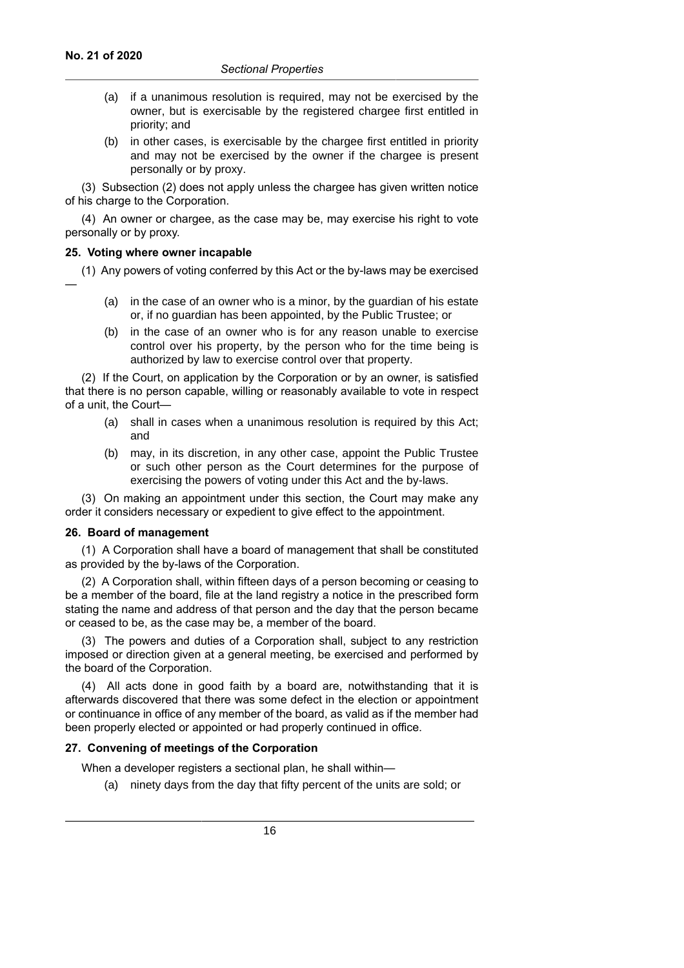- (a) if a unanimous resolution is required, may not be exercised by the owner, but is exercisable by the registered chargee first entitled in priority; and
- (b) in other cases, is exercisable by the chargee first entitled in priority and may not be exercised by the owner if the chargee is present personally or by proxy.

(3) Subsection (2) does not apply unless the chargee has given written notice of his charge to the Corporation.

(4) An owner or chargee, as the case may be, may exercise his right to vote personally or by proxy.

### **25. Voting where owner incapable**

(1) Any powers of voting conferred by this Act or the by-laws may be exercised —

- (a) in the case of an owner who is a minor, by the guardian of his estate or, if no guardian has been appointed, by the Public Trustee; or
- (b) in the case of an owner who is for any reason unable to exercise control over his property, by the person who for the time being is authorized by law to exercise control over that property.

(2) If the Court, on application by the Corporation or by an owner, is satisfied that there is no person capable, willing or reasonably available to vote in respect of a unit, the Court—

- (a) shall in cases when a unanimous resolution is required by this Act; and
- (b) may, in its discretion, in any other case, appoint the Public Trustee or such other person as the Court determines for the purpose of exercising the powers of voting under this Act and the by-laws.

(3) On making an appointment under this section, the Court may make any order it considers necessary or expedient to give effect to the appointment.

#### **26. Board of management**

(1) A Corporation shall have a board of management that shall be constituted as provided by the by-laws of the Corporation.

(2) A Corporation shall, within fifteen days of a person becoming or ceasing to be a member of the board, file at the land registry a notice in the prescribed form stating the name and address of that person and the day that the person became or ceased to be, as the case may be, a member of the board.

(3) The powers and duties of a Corporation shall, subject to any restriction imposed or direction given at a general meeting, be exercised and performed by the board of the Corporation.

(4) All acts done in good faith by a board are, notwithstanding that it is afterwards discovered that there was some defect in the election or appointment or continuance in office of any member of the board, as valid as if the member had been properly elected or appointed or had properly continued in office.

## **27. Convening of meetings of the Corporation**

When a developer registers a sectional plan, he shall within—

(a) ninety days from the day that fifty percent of the units are sold; or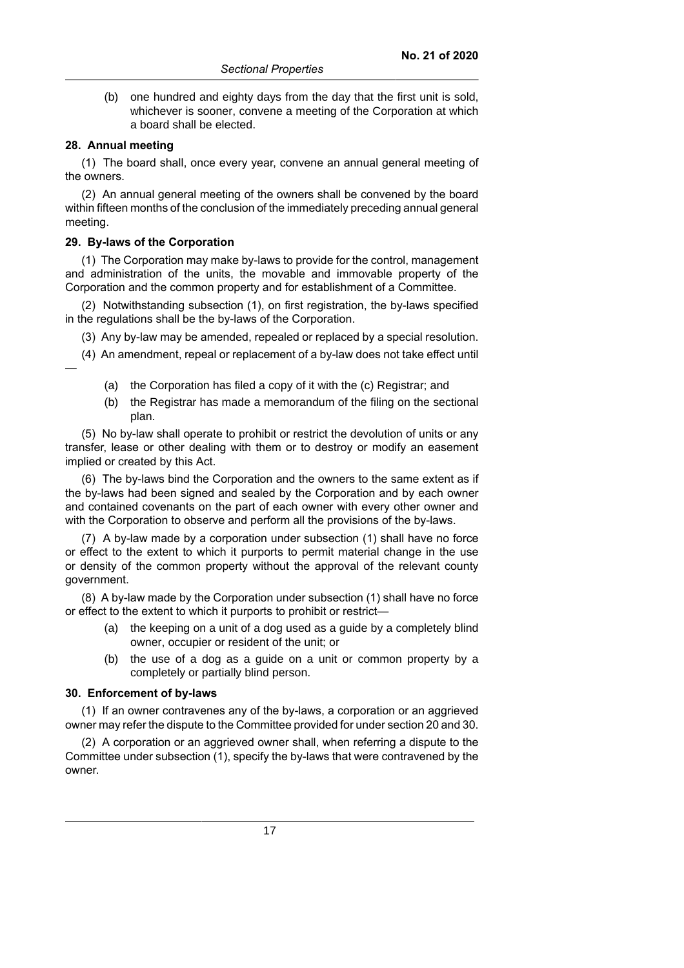(b) one hundred and eighty days from the day that the first unit is sold, whichever is sooner, convene a meeting of the Corporation at which a board shall be elected.

### **28. Annual meeting**

(1) The board shall, once every year, convene an annual general meeting of the owners.

(2) An annual general meeting of the owners shall be convened by the board within fifteen months of the conclusion of the immediately preceding annual general meeting.

#### **29. By-laws of the Corporation**

(1) The Corporation may make by-laws to provide for the control, management and administration of the units, the movable and immovable property of the Corporation and the common property and for establishment of a Committee.

(2) Notwithstanding subsection (1), on first registration, the by-laws specified in the regulations shall be the by-laws of the Corporation.

(3) Any by-law may be amended, repealed or replaced by a special resolution.

(4) An amendment, repeal or replacement of a by-law does not take effect until —

- (a) the Corporation has filed a copy of it with the (c) Registrar; and
- (b) the Registrar has made a memorandum of the filing on the sectional plan.

(5) No by-law shall operate to prohibit or restrict the devolution of units or any transfer, lease or other dealing with them or to destroy or modify an easement implied or created by this Act.

(6) The by-laws bind the Corporation and the owners to the same extent as if the by-laws had been signed and sealed by the Corporation and by each owner and contained covenants on the part of each owner with every other owner and with the Corporation to observe and perform all the provisions of the by-laws.

(7) A by-law made by a corporation under subsection (1) shall have no force or effect to the extent to which it purports to permit material change in the use or density of the common property without the approval of the relevant county government.

(8) A by-law made by the Corporation under subsection (1) shall have no force or effect to the extent to which it purports to prohibit or restrict—

- (a) the keeping on a unit of a dog used as a guide by a completely blind owner, occupier or resident of the unit; or
- (b) the use of a dog as a guide on a unit or common property by a completely or partially blind person.

#### **30. Enforcement of by-laws**

(1) If an owner contravenes any of the by-laws, a corporation or an aggrieved owner may refer the dispute to the Committee provided for under section 20 and 30.

(2) A corporation or an aggrieved owner shall, when referring a dispute to the Committee under subsection (1), specify the by-laws that were contravened by the owner.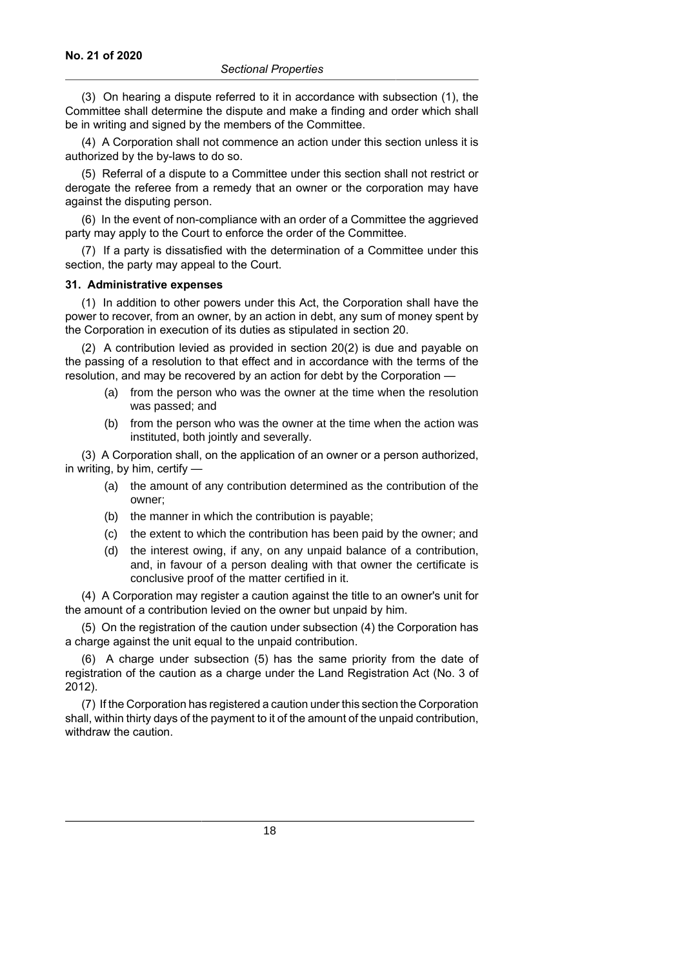(3) On hearing a dispute referred to it in accordance with subsection (1), the Committee shall determine the dispute and make a finding and order which shall be in writing and signed by the members of the Committee.

(4) A Corporation shall not commence an action under this section unless it is authorized by the by-laws to do so.

(5) Referral of a dispute to a Committee under this section shall not restrict or derogate the referee from a remedy that an owner or the corporation may have against the disputing person.

(6) In the event of non-compliance with an order of a Committee the aggrieved party may apply to the Court to enforce the order of the Committee.

(7) If a party is dissatisfied with the determination of a Committee under this section, the party may appeal to the Court.

#### **31. Administrative expenses**

(1) In addition to other powers under this Act, the Corporation shall have the power to recover, from an owner, by an action in debt, any sum of money spent by the Corporation in execution of its duties as stipulated in section 20.

(2) A contribution levied as provided in section 20(2) is due and payable on the passing of a resolution to that effect and in accordance with the terms of the resolution, and may be recovered by an action for debt by the Corporation —

- (a) from the person who was the owner at the time when the resolution was passed; and
- (b) from the person who was the owner at the time when the action was instituted, both jointly and severally.

(3) A Corporation shall, on the application of an owner or a person authorized, in writing, by him, certify —

- (a) the amount of any contribution determined as the contribution of the owner;
- (b) the manner in which the contribution is payable;
- (c) the extent to which the contribution has been paid by the owner; and
- (d) the interest owing, if any, on any unpaid balance of a contribution, and, in favour of a person dealing with that owner the certificate is conclusive proof of the matter certified in it.

(4) A Corporation may register a caution against the title to an owner's unit for the amount of a contribution levied on the owner but unpaid by him.

(5) On the registration of the caution under subsection (4) the Corporation has a charge against the unit equal to the unpaid contribution.

(6) A charge under subsection (5) has the same priority from the date of registration of the caution as a charge under the Land Registration Act (No. 3 of 2012).

(7) If the Corporation has registered a caution under this section the Corporation shall, within thirty days of the payment to it of the amount of the unpaid contribution, withdraw the caution.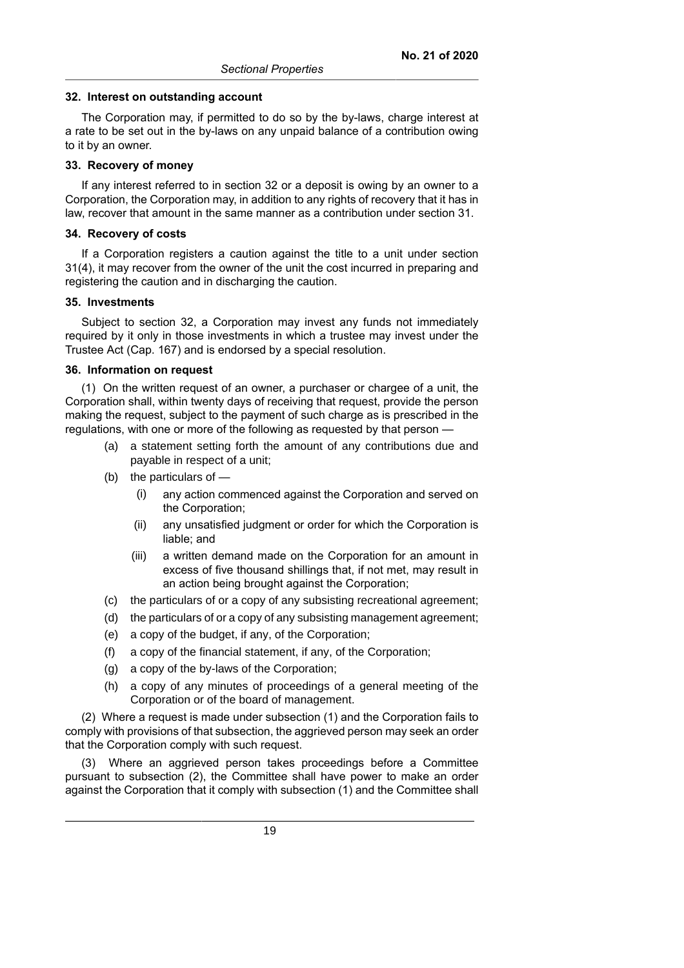#### **32. Interest on outstanding account**

The Corporation may, if permitted to do so by the by-laws, charge interest at a rate to be set out in the by-laws on any unpaid balance of a contribution owing to it by an owner.

#### **33. Recovery of money**

If any interest referred to in section 32 or a deposit is owing by an owner to a Corporation, the Corporation may, in addition to any rights of recovery that it has in law, recover that amount in the same manner as a contribution under section 31.

#### **34. Recovery of costs**

If a Corporation registers a caution against the title to a unit under section 31(4), it may recover from the owner of the unit the cost incurred in preparing and registering the caution and in discharging the caution.

#### **35. Investments**

Subject to section 32, a Corporation may invest any funds not immediately required by it only in those investments in which a trustee may invest under the Trustee Act (Cap. 167) and is endorsed by a special resolution.

#### **36. Information on request**

(1) On the written request of an owner, a purchaser or chargee of a unit, the Corporation shall, within twenty days of receiving that request, provide the person making the request, subject to the payment of such charge as is prescribed in the regulations, with one or more of the following as requested by that person —

- (a) a statement setting forth the amount of any contributions due and payable in respect of a unit;
- (b) the particulars of
	- (i) any action commenced against the Corporation and served on the Corporation;
	- (ii) any unsatisfied judgment or order for which the Corporation is liable; and
	- (iii) a written demand made on the Corporation for an amount in excess of five thousand shillings that, if not met, may result in an action being brought against the Corporation;
- (c) the particulars of or a copy of any subsisting recreational agreement;
- (d) the particulars of or a copy of any subsisting management agreement;
- (e) a copy of the budget, if any, of the Corporation;
- (f) a copy of the financial statement, if any, of the Corporation;
- (g) a copy of the by-laws of the Corporation;
- (h) a copy of any minutes of proceedings of a general meeting of the Corporation or of the board of management.

(2) Where a request is made under subsection (1) and the Corporation fails to comply with provisions of that subsection, the aggrieved person may seek an order that the Corporation comply with such request.

(3) Where an aggrieved person takes proceedings before a Committee pursuant to subsection (2), the Committee shall have power to make an order against the Corporation that it comply with subsection (1) and the Committee shall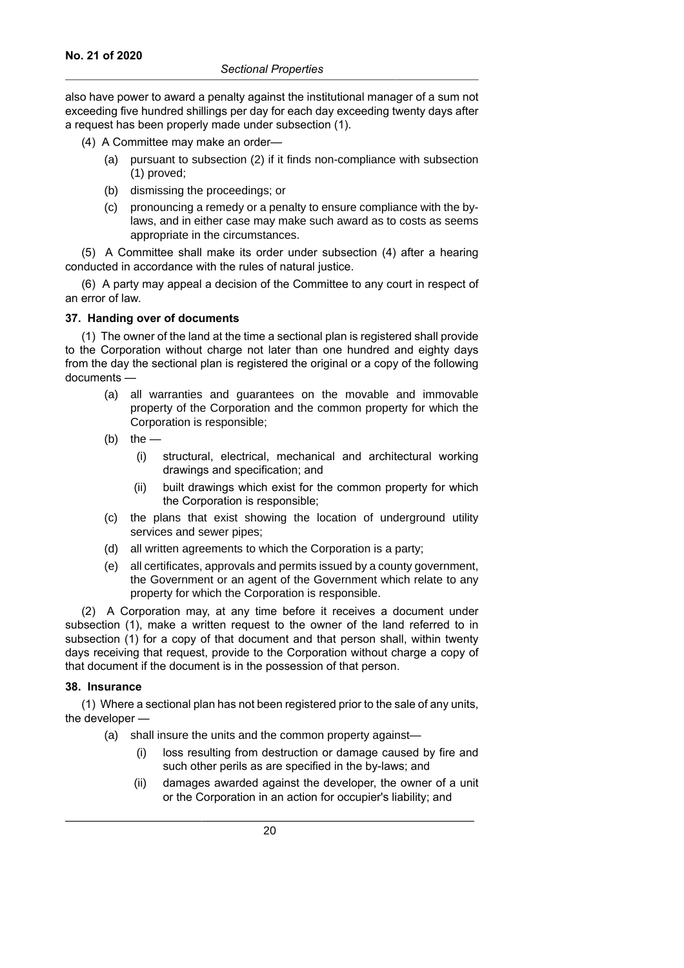also have power to award a penalty against the institutional manager of a sum not exceeding five hundred shillings per day for each day exceeding twenty days after a request has been properly made under subsection (1).

- (4) A Committee may make an order—
	- (a) pursuant to subsection (2) if it finds non-compliance with subsection (1) proved;
	- (b) dismissing the proceedings; or
	- (c) pronouncing a remedy or a penalty to ensure compliance with the bylaws, and in either case may make such award as to costs as seems appropriate in the circumstances.

(5) A Committee shall make its order under subsection (4) after a hearing conducted in accordance with the rules of natural justice.

(6) A party may appeal a decision of the Committee to any court in respect of an error of law.

## **37. Handing over of documents**

(1) The owner of the land at the time a sectional plan is registered shall provide to the Corporation without charge not later than one hundred and eighty days from the day the sectional plan is registered the original or a copy of the following documents —

- (a) all warranties and guarantees on the movable and immovable property of the Corporation and the common property for which the Corporation is responsible;
- (b) the  $-$ 
	- (i) structural, electrical, mechanical and architectural working drawings and specification; and
	- (ii) built drawings which exist for the common property for which the Corporation is responsible;
- (c) the plans that exist showing the location of underground utility services and sewer pipes;
- (d) all written agreements to which the Corporation is a party;
- (e) all certificates, approvals and permits issued by a county government, the Government or an agent of the Government which relate to any property for which the Corporation is responsible.

(2) A Corporation may, at any time before it receives a document under subsection (1), make a written request to the owner of the land referred to in subsection (1) for a copy of that document and that person shall, within twenty days receiving that request, provide to the Corporation without charge a copy of that document if the document is in the possession of that person.

## **38. Insurance**

(1) Where a sectional plan has not been registered prior to the sale of any units, the developer —

- (a) shall insure the units and the common property against—
	- (i) loss resulting from destruction or damage caused by fire and such other perils as are specified in the by-laws; and
	- (ii) damages awarded against the developer, the owner of a unit or the Corporation in an action for occupier's liability; and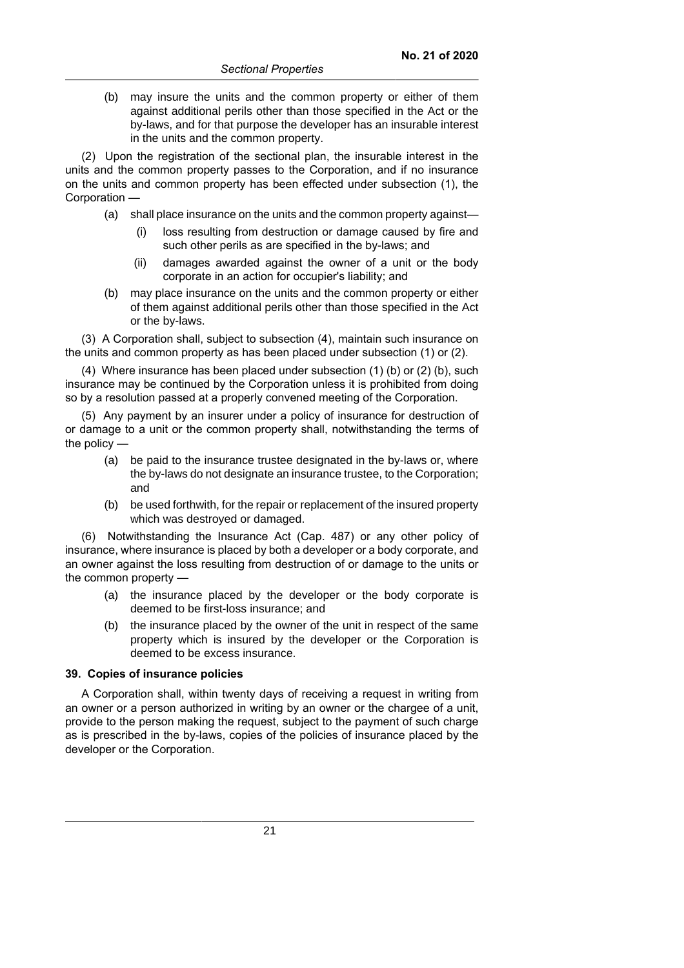(b) may insure the units and the common property or either of them against additional perils other than those specified in the Act or the by-laws, and for that purpose the developer has an insurable interest in the units and the common property.

(2) Upon the registration of the sectional plan, the insurable interest in the units and the common property passes to the Corporation, and if no insurance on the units and common property has been effected under subsection (1), the Corporation —

- (a) shall place insurance on the units and the common property against—
	- (i) loss resulting from destruction or damage caused by fire and such other perils as are specified in the by-laws; and
	- (ii) damages awarded against the owner of a unit or the body corporate in an action for occupier's liability; and
- (b) may place insurance on the units and the common property or either of them against additional perils other than those specified in the Act or the by-laws.

(3) A Corporation shall, subject to subsection (4), maintain such insurance on the units and common property as has been placed under subsection (1) or (2).

(4) Where insurance has been placed under subsection (1) (b) or (2) (b), such insurance may be continued by the Corporation unless it is prohibited from doing so by a resolution passed at a properly convened meeting of the Corporation.

(5) Any payment by an insurer under a policy of insurance for destruction of or damage to a unit or the common property shall, notwithstanding the terms of the policy —

- (a) be paid to the insurance trustee designated in the by-laws or, where the by-laws do not designate an insurance trustee, to the Corporation; and
- (b) be used forthwith, for the repair or replacement of the insured property which was destroyed or damaged.

(6) Notwithstanding the Insurance Act (Cap. 487) or any other policy of insurance, where insurance is placed by both a developer or a body corporate, and an owner against the loss resulting from destruction of or damage to the units or the common property -

- (a) the insurance placed by the developer or the body corporate is deemed to be first-loss insurance; and
- (b) the insurance placed by the owner of the unit in respect of the same property which is insured by the developer or the Corporation is deemed to be excess insurance.

## **39. Copies of insurance policies**

A Corporation shall, within twenty days of receiving a request in writing from an owner or a person authorized in writing by an owner or the chargee of a unit, provide to the person making the request, subject to the payment of such charge as is prescribed in the by-laws, copies of the policies of insurance placed by the developer or the Corporation.

21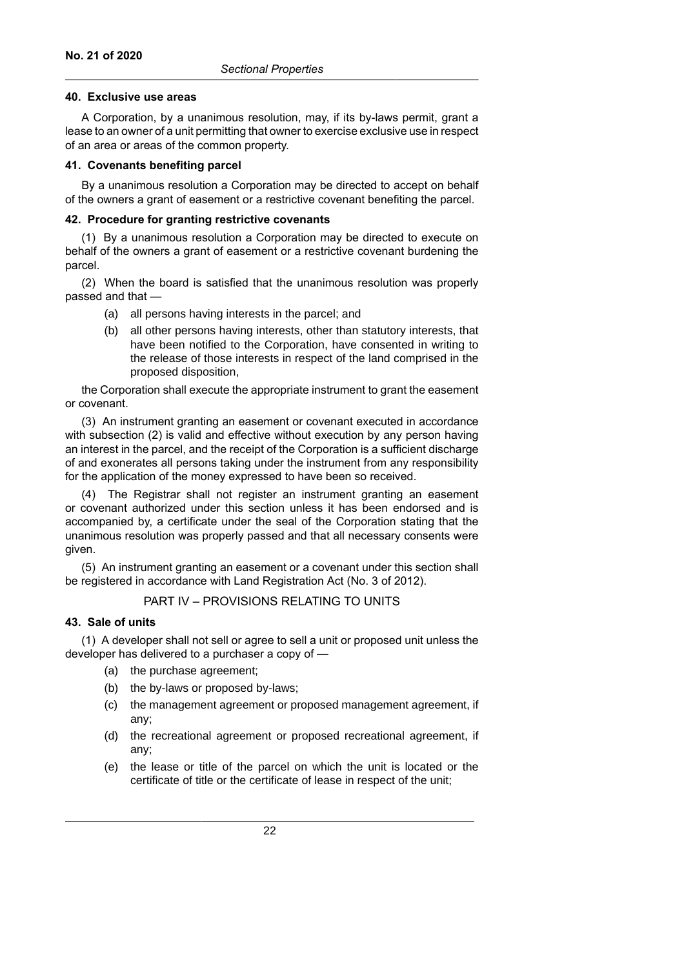#### **40. Exclusive use areas**

A Corporation, by a unanimous resolution, may, if its by-laws permit, grant a lease to an owner of a unit permitting that owner to exercise exclusive use in respect of an area or areas of the common property.

### **41. Covenants benefiting parcel**

By a unanimous resolution a Corporation may be directed to accept on behalf of the owners a grant of easement or a restrictive covenant benefiting the parcel.

### **42. Procedure for granting restrictive covenants**

(1) By a unanimous resolution a Corporation may be directed to execute on behalf of the owners a grant of easement or a restrictive covenant burdening the parcel.

(2) When the board is satisfied that the unanimous resolution was properly passed and that —

- (a) all persons having interests in the parcel; and
- (b) all other persons having interests, other than statutory interests, that have been notified to the Corporation, have consented in writing to the release of those interests in respect of the land comprised in the proposed disposition,

the Corporation shall execute the appropriate instrument to grant the easement or covenant.

(3) An instrument granting an easement or covenant executed in accordance with subsection (2) is valid and effective without execution by any person having an interest in the parcel, and the receipt of the Corporation is a sufficient discharge of and exonerates all persons taking under the instrument from any responsibility for the application of the money expressed to have been so received.

(4) The Registrar shall not register an instrument granting an easement or covenant authorized under this section unless it has been endorsed and is accompanied by, a certificate under the seal of the Corporation stating that the unanimous resolution was properly passed and that all necessary consents were given.

(5) An instrument granting an easement or a covenant under this section shall be registered in accordance with Land Registration Act (No. 3 of 2012).

## PART IV – PROVISIONS RELATING TO UNITS

## **43. Sale of units**

(1) A developer shall not sell or agree to sell a unit or proposed unit unless the developer has delivered to a purchaser a copy of —

- (a) the purchase agreement;
- (b) the by-laws or proposed by-laws;
- (c) the management agreement or proposed management agreement, if any;
- (d) the recreational agreement or proposed recreational agreement, if any;
- (e) the lease or title of the parcel on which the unit is located or the certificate of title or the certificate of lease in respect of the unit;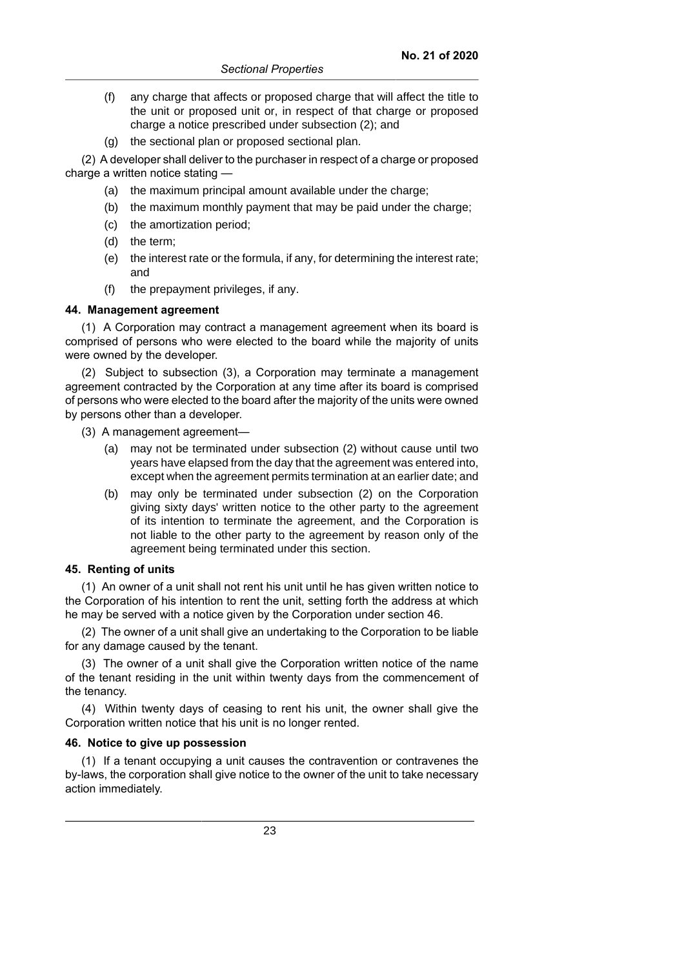- (f) any charge that affects or proposed charge that will affect the title to the unit or proposed unit or, in respect of that charge or proposed charge a notice prescribed under subsection (2); and
- (g) the sectional plan or proposed sectional plan.

(2) A developer shall deliver to the purchaser in respect of a charge or proposed charge a written notice stating —

- (a) the maximum principal amount available under the charge:
- (b) the maximum monthly payment that may be paid under the charge;
- (c) the amortization period;
- (d) the term;
- (e) the interest rate or the formula, if any, for determining the interest rate; and
- (f) the prepayment privileges, if any.

#### **44. Management agreement**

(1) A Corporation may contract a management agreement when its board is comprised of persons who were elected to the board while the majority of units were owned by the developer.

(2) Subject to subsection (3), a Corporation may terminate a management agreement contracted by the Corporation at any time after its board is comprised of persons who were elected to the board after the majority of the units were owned by persons other than a developer.

- (3) A management agreement—
	- (a) may not be terminated under subsection (2) without cause until two years have elapsed from the day that the agreement was entered into, except when the agreement permits termination at an earlier date; and
	- (b) may only be terminated under subsection (2) on the Corporation giving sixty days' written notice to the other party to the agreement of its intention to terminate the agreement, and the Corporation is not liable to the other party to the agreement by reason only of the agreement being terminated under this section.

## **45. Renting of units**

(1) An owner of a unit shall not rent his unit until he has given written notice to the Corporation of his intention to rent the unit, setting forth the address at which he may be served with a notice given by the Corporation under section 46.

(2) The owner of a unit shall give an undertaking to the Corporation to be liable for any damage caused by the tenant.

(3) The owner of a unit shall give the Corporation written notice of the name of the tenant residing in the unit within twenty days from the commencement of the tenancy.

(4) Within twenty days of ceasing to rent his unit, the owner shall give the Corporation written notice that his unit is no longer rented.

#### **46. Notice to give up possession**

(1) If a tenant occupying a unit causes the contravention or contravenes the by-laws, the corporation shall give notice to the owner of the unit to take necessary action immediately.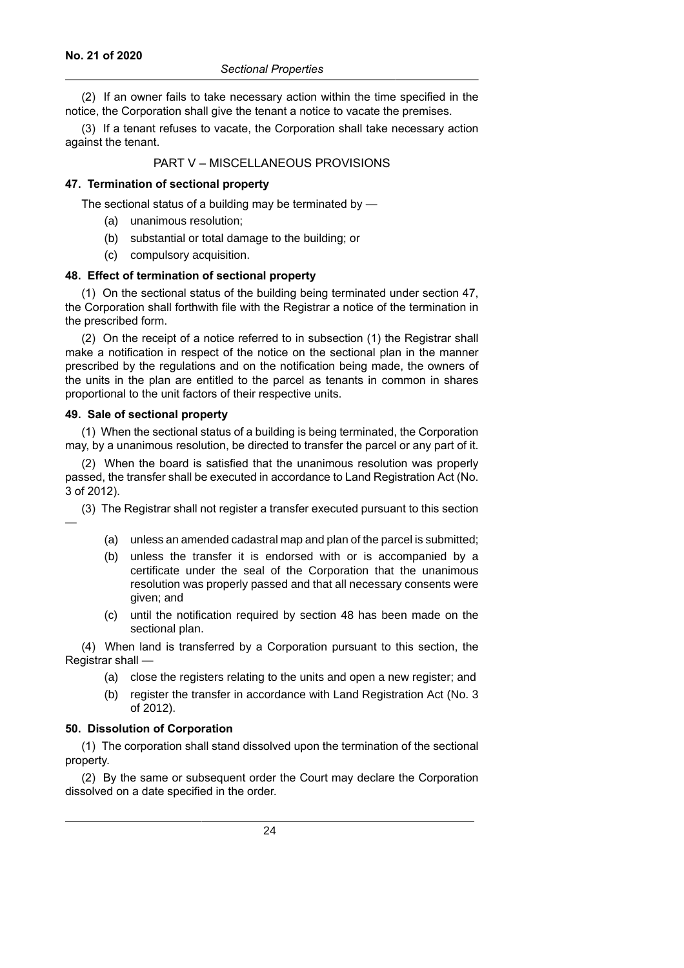(2) If an owner fails to take necessary action within the time specified in the notice, the Corporation shall give the tenant a notice to vacate the premises.

(3) If a tenant refuses to vacate, the Corporation shall take necessary action against the tenant.

## PART V – MISCELLANEOUS PROVISIONS

### **47. Termination of sectional property**

The sectional status of a building may be terminated by —

- (a) unanimous resolution;
- (b) substantial or total damage to the building; or
- (c) compulsory acquisition.

#### **48. Effect of termination of sectional property**

(1) On the sectional status of the building being terminated under section 47, the Corporation shall forthwith file with the Registrar a notice of the termination in the prescribed form.

(2) On the receipt of a notice referred to in subsection (1) the Registrar shall make a notification in respect of the notice on the sectional plan in the manner prescribed by the regulations and on the notification being made, the owners of the units in the plan are entitled to the parcel as tenants in common in shares proportional to the unit factors of their respective units.

#### **49. Sale of sectional property**

—

(1) When the sectional status of a building is being terminated, the Corporation may, by a unanimous resolution, be directed to transfer the parcel or any part of it.

(2) When the board is satisfied that the unanimous resolution was properly passed, the transfer shall be executed in accordance to Land Registration Act (No. 3 of 2012).

(3) The Registrar shall not register a transfer executed pursuant to this section

- (a) unless an amended cadastral map and plan of the parcel is submitted;
- (b) unless the transfer it is endorsed with or is accompanied by a certificate under the seal of the Corporation that the unanimous resolution was properly passed and that all necessary consents were given; and
- (c) until the notification required by section 48 has been made on the sectional plan.

(4) When land is transferred by a Corporation pursuant to this section, the Registrar shall —

- (a) close the registers relating to the units and open a new register; and
- (b) register the transfer in accordance with Land Registration Act (No. 3 of 2012).

#### **50. Dissolution of Corporation**

(1) The corporation shall stand dissolved upon the termination of the sectional property.

(2) By the same or subsequent order the Court may declare the Corporation dissolved on a date specified in the order.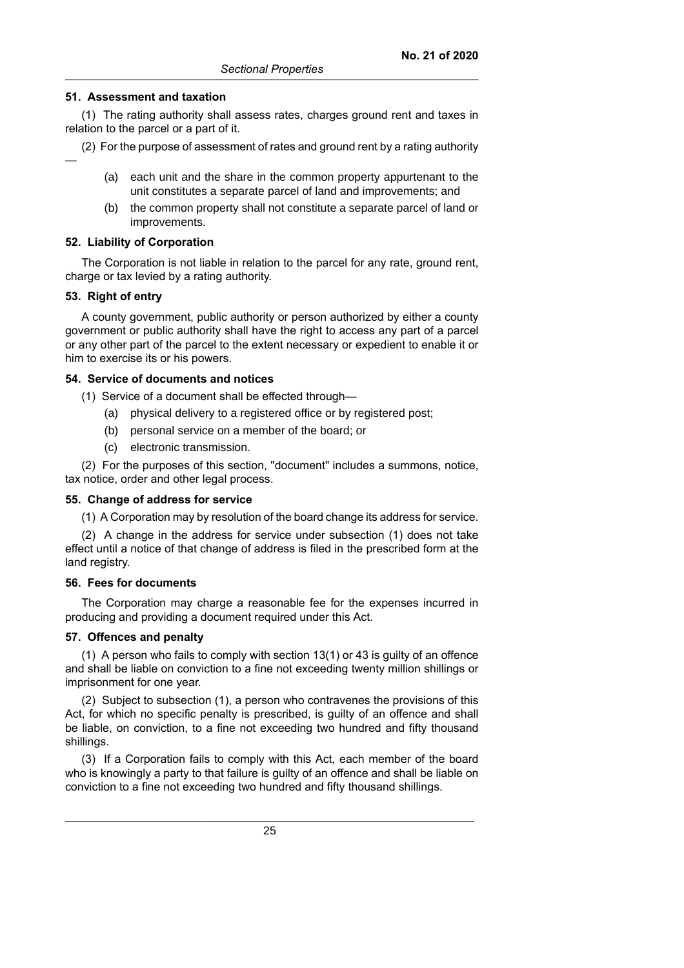#### **51. Assessment and taxation**

(1) The rating authority shall assess rates, charges ground rent and taxes in relation to the parcel or a part of it.

(2) For the purpose of assessment of rates and ground rent by a rating authority

- (a) each unit and the share in the common property appurtenant to the unit constitutes a separate parcel of land and improvements; and
- (b) the common property shall not constitute a separate parcel of land or improvements.

#### **52. Liability of Corporation**

The Corporation is not liable in relation to the parcel for any rate, ground rent, charge or tax levied by a rating authority.

#### **53. Right of entry**

—

A county government, public authority or person authorized by either a county government or public authority shall have the right to access any part of a parcel or any other part of the parcel to the extent necessary or expedient to enable it or him to exercise its or his powers.

#### **54. Service of documents and notices**

(1) Service of a document shall be effected through—

- (a) physical delivery to a registered office or by registered post;
- (b) personal service on a member of the board; or
- (c) electronic transmission.

(2) For the purposes of this section, "document" includes a summons, notice, tax notice, order and other legal process.

#### **55. Change of address for service**

(1) A Corporation may by resolution of the board change its address for service.

(2) A change in the address for service under subsection (1) does not take effect until a notice of that change of address is filed in the prescribed form at the land registry.

#### **56. Fees for documents**

The Corporation may charge a reasonable fee for the expenses incurred in producing and providing a document required under this Act.

#### **57. Offences and penalty**

(1) A person who fails to comply with section 13(1) or 43 is guilty of an offence and shall be liable on conviction to a fine not exceeding twenty million shillings or imprisonment for one year.

(2) Subject to subsection (1), a person who contravenes the provisions of this Act, for which no specific penalty is prescribed, is guilty of an offence and shall be liable, on conviction, to a fine not exceeding two hundred and fifty thousand shillings.

(3) If a Corporation fails to comply with this Act, each member of the board who is knowingly a party to that failure is guilty of an offence and shall be liable on conviction to a fine not exceeding two hundred and fifty thousand shillings.